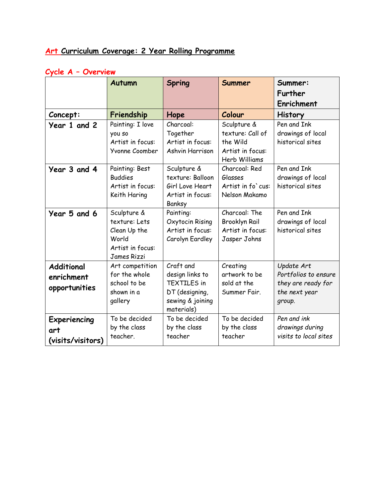## **Art Curriculum Coverage: 2 Year Rolling Programme**

## **Cycle A – Overview**

|                                                  | <b>Autumn</b>                                                                                   | <b>Spring</b>                                                                                          | Summer                                                                           | Summer:<br>Further<br>Enrichment                                                    |
|--------------------------------------------------|-------------------------------------------------------------------------------------------------|--------------------------------------------------------------------------------------------------------|----------------------------------------------------------------------------------|-------------------------------------------------------------------------------------|
| Concept:                                         | Friendship                                                                                      | Hope                                                                                                   | Colour                                                                           | <b>History</b>                                                                      |
| Year 1 and 2                                     | Painting: I love<br>you so<br>Artist in focus:<br>Yvonne Coomber                                | Charcoal:<br>Together<br>Artist in focus:<br>Ashvin Harrison                                           | Sculpture &<br>texture: Call of<br>the Wild<br>Artist in focus:<br>Herb Williams | Pen and Ink<br>drawings of local<br>historical sites                                |
| Year 3 and 4                                     | Painting: Best<br><b>Buddies</b><br>Artist in focus:<br>Keith Haring                            | Sculpture &<br>texture: Balloon<br>Girl Love Heart<br>Artist in focus:<br>Banksy                       | Charcoal: Red<br>Glasses<br>Artist in fo' cus:<br>Nelson Makamo                  | Pen and Ink<br>drawings of local<br>historical sites                                |
| Year 5 and 6                                     | Sculpture &<br>texture: Lets<br>Clean Up the<br>World<br>Artist in focus:<br><b>James Rizzi</b> | Painting:<br>Oxytocin Rising<br>Artist in focus:<br>Carolyn Eardley                                    | Charcoal: The<br><b>Brooklyn Rail</b><br>Artist in focus:<br>Jasper Johns        | Pen and Ink<br>drawings of local<br>historical sites                                |
| <b>Additional</b><br>enrichment<br>opportunities | Art competition<br>for the whole<br>school to be<br>shown in a<br>gallery                       | Craft and<br>design links to<br><b>TEXTILES in</b><br>DT (designing,<br>sewing & joining<br>materials) | Creating<br>artwork to be<br>sold at the<br>Summer Fair.                         | Update Art<br>Portfolios to ensure<br>they are ready for<br>the next year<br>group. |
| Experiencing<br>art<br>(visits/visitors)         | To be decided<br>by the class<br>teacher.                                                       | To be decided<br>by the class<br>teacher                                                               | To be decided<br>by the class<br>teacher                                         | Pen and ink<br>drawings during<br>visits to local sites                             |